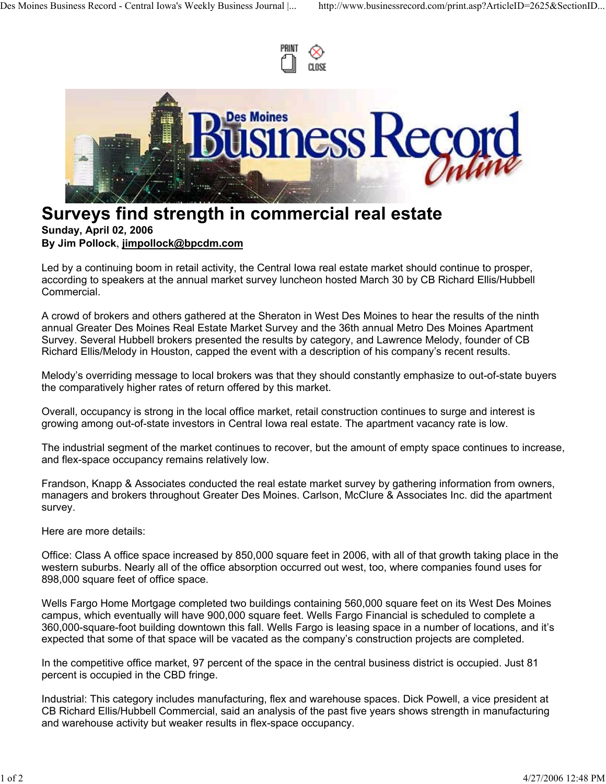



## **Surveys find strength in commercial real estate Sunday, April 02, 2006 By Jim Pollock**, **jimpollock@bpcdm.com**

Led by a continuing boom in retail activity, the Central Iowa real estate market should continue to prosper, according to speakers at the annual market survey luncheon hosted March 30 by CB Richard Ellis/Hubbell Commercial.

A crowd of brokers and others gathered at the Sheraton in West Des Moines to hear the results of the ninth annual Greater Des Moines Real Estate Market Survey and the 36th annual Metro Des Moines Apartment Survey. Several Hubbell brokers presented the results by category, and Lawrence Melody, founder of CB Richard Ellis/Melody in Houston, capped the event with a description of his company's recent results.

Melody's overriding message to local brokers was that they should constantly emphasize to out-of-state buyers the comparatively higher rates of return offered by this market.

Overall, occupancy is strong in the local office market, retail construction continues to surge and interest is growing among out-of-state investors in Central Iowa real estate. The apartment vacancy rate is low.

The industrial segment of the market continues to recover, but the amount of empty space continues to increase, and flex-space occupancy remains relatively low.

Frandson, Knapp & Associates conducted the real estate market survey by gathering information from owners, managers and brokers throughout Greater Des Moines. Carlson, McClure & Associates Inc. did the apartment survey.

Here are more details:

Office: Class A office space increased by 850,000 square feet in 2006, with all of that growth taking place in the western suburbs. Nearly all of the office absorption occurred out west, too, where companies found uses for 898,000 square feet of office space.

Wells Fargo Home Mortgage completed two buildings containing 560,000 square feet on its West Des Moines campus, which eventually will have 900,000 square feet. Wells Fargo Financial is scheduled to complete a 360,000-square-foot building downtown this fall. Wells Fargo is leasing space in a number of locations, and it's expected that some of that space will be vacated as the company's construction projects are completed.

In the competitive office market, 97 percent of the space in the central business district is occupied. Just 81 percent is occupied in the CBD fringe.

Industrial: This category includes manufacturing, flex and warehouse spaces. Dick Powell, a vice president at CB Richard Ellis/Hubbell Commercial, said an analysis of the past five years shows strength in manufacturing and warehouse activity but weaker results in flex-space occupancy.